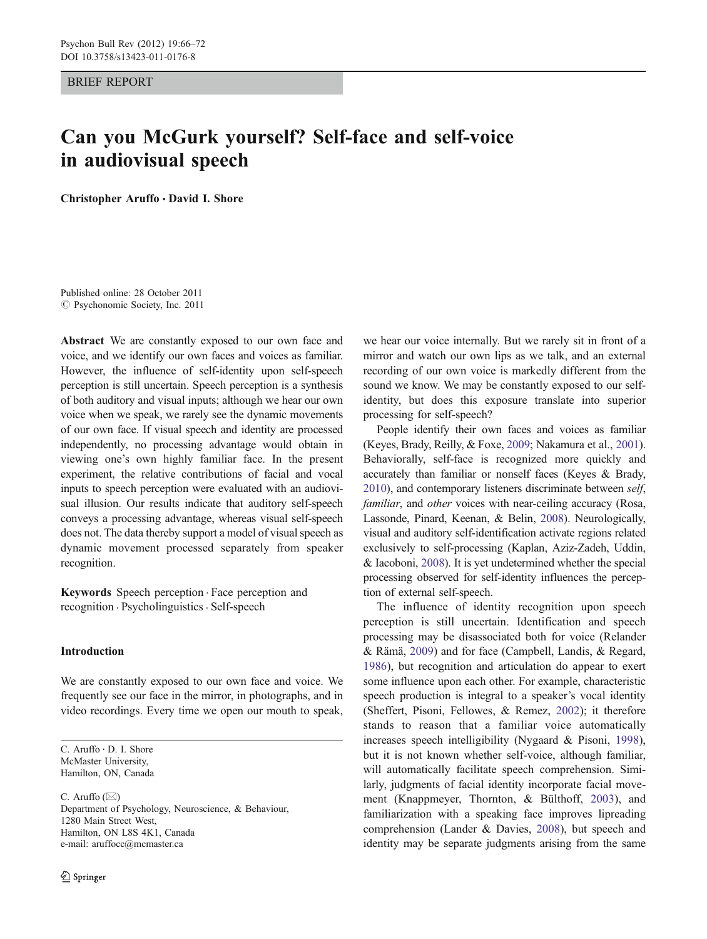BRIEF REPORT

# Can you McGurk yourself? Self-face and self-voice in audiovisual speech

Christopher Aruffo · David I. Shore

Published online: 28 October 2011  $\odot$  Psychonomic Society, Inc. 2011

Abstract We are constantly exposed to our own face and voice, and we identify our own faces and voices as familiar. However, the influence of self-identity upon self-speech perception is still uncertain. Speech perception is a synthesis of both auditory and visual inputs; although we hear our own voice when we speak, we rarely see the dynamic movements of our own face. If visual speech and identity are processed independently, no processing advantage would obtain in viewing one's own highly familiar face. In the present experiment, the relative contributions of facial and vocal inputs to speech perception were evaluated with an audiovisual illusion. Our results indicate that auditory self-speech conveys a processing advantage, whereas visual self-speech does not. The data thereby support a model of visual speech as dynamic movement processed separately from speaker recognition.

Keywords Speech perception . Face perception and recognition . Psycholinguistics . Self-speech

## Introduction

We are constantly exposed to our own face and voice. We frequently see our face in the mirror, in photographs, and in video recordings. Every time we open our mouth to speak,

C. Aruffo : D. I. Shore McMaster University, Hamilton, ON, Canada

C. Aruffo  $(\boxtimes)$ Department of Psychology, Neuroscience, & Behaviour, 1280 Main Street West, Hamilton, ON L8S 4K1, Canada e-mail: aruffocc@mcmaster.ca

we hear our voice internally. But we rarely sit in front of a mirror and watch our own lips as we talk, and an external recording of our own voice is markedly different from the sound we know. We may be constantly exposed to our selfidentity, but does this exposure translate into superior processing for self-speech?

People identify their own faces and voices as familiar (Keyes, Brady, Reilly, & Foxe, [2009;](#page-6-0) Nakamura et al., [2001\)](#page-6-0). Behaviorally, self-face is recognized more quickly and accurately than familiar or nonself faces (Keyes & Brady, [2010\)](#page-6-0), and contemporary listeners discriminate between self, familiar, and other voices with near-ceiling accuracy (Rosa, Lassonde, Pinard, Keenan, & Belin, [2008](#page-6-0)). Neurologically, visual and auditory self-identification activate regions related exclusively to self-processing (Kaplan, Aziz-Zadeh, Uddin, & Iacoboni, [2008\)](#page-6-0). It is yet undetermined whether the special processing observed for self-identity influences the perception of external self-speech.

The influence of identity recognition upon speech perception is still uncertain. Identification and speech processing may be disassociated both for voice (Relander & Rämä, [2009](#page-6-0)) and for face (Campbell, Landis, & Regard, [1986](#page-5-0)), but recognition and articulation do appear to exert some influence upon each other. For example, characteristic speech production is integral to a speaker's vocal identity (Sheffert, Pisoni, Fellowes, & Remez, [2002\)](#page-6-0); it therefore stands to reason that a familiar voice automatically increases speech intelligibility (Nygaard & Pisoni, [1998\)](#page-6-0), but it is not known whether self-voice, although familiar, will automatically facilitate speech comprehension. Similarly, judgments of facial identity incorporate facial movement (Knappmeyer, Thornton, & Bülthoff, [2003\)](#page-6-0), and familiarization with a speaking face improves lipreading comprehension (Lander & Davies, [2008](#page-6-0)), but speech and identity may be separate judgments arising from the same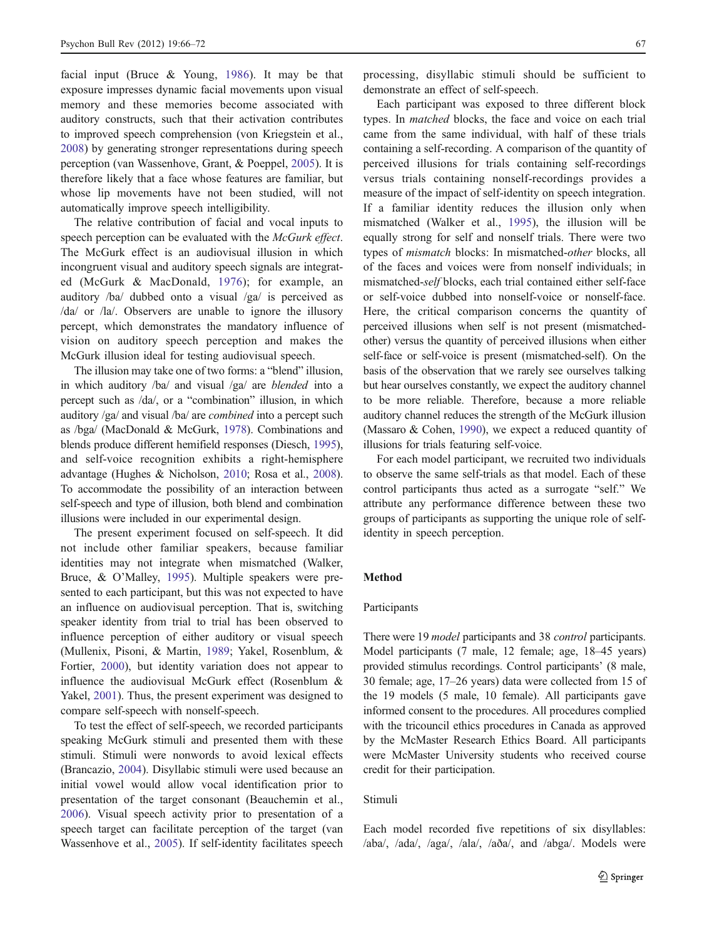facial input (Bruce & Young, [1986](#page-5-0)). It may be that exposure impresses dynamic facial movements upon visual memory and these memories become associated with auditory constructs, such that their activation contributes to improved speech comprehension (von Kriegstein et al., [2008\)](#page-6-0) by generating stronger representations during speech perception (van Wassenhove, Grant, & Poeppel, [2005](#page-6-0)). It is therefore likely that a face whose features are familiar, but whose lip movements have not been studied, will not automatically improve speech intelligibility.

The relative contribution of facial and vocal inputs to speech perception can be evaluated with the McGurk effect. The McGurk effect is an audiovisual illusion in which incongruent visual and auditory speech signals are integrated (McGurk & MacDonald, [1976](#page-6-0)); for example, an auditory /ba/ dubbed onto a visual /ga/ is perceived as /da/ or /la/. Observers are unable to ignore the illusory percept, which demonstrates the mandatory influence of vision on auditory speech perception and makes the McGurk illusion ideal for testing audiovisual speech.

The illusion may take one of two forms: a "blend" illusion, in which auditory /ba/ and visual /ga/ are blended into a percept such as /da/, or a "combination" illusion, in which auditory /ga/ and visual /ba/ are combined into a percept such as /bga/ (MacDonald & McGurk, [1978\)](#page-6-0). Combinations and blends produce different hemifield responses (Diesch, [1995\)](#page-5-0), and self-voice recognition exhibits a right-hemisphere advantage (Hughes & Nicholson, [2010;](#page-6-0) Rosa et al., [2008\)](#page-6-0). To accommodate the possibility of an interaction between self-speech and type of illusion, both blend and combination illusions were included in our experimental design.

The present experiment focused on self-speech. It did not include other familiar speakers, because familiar identities may not integrate when mismatched (Walker, Bruce, & O'Malley, [1995](#page-6-0)). Multiple speakers were presented to each participant, but this was not expected to have an influence on audiovisual perception. That is, switching speaker identity from trial to trial has been observed to influence perception of either auditory or visual speech (Mullenix, Pisoni, & Martin, [1989;](#page-6-0) Yakel, Rosenblum, & Fortier, [2000\)](#page-6-0), but identity variation does not appear to influence the audiovisual McGurk effect (Rosenblum & Yakel, [2001\)](#page-6-0). Thus, the present experiment was designed to compare self-speech with nonself-speech.

To test the effect of self-speech, we recorded participants speaking McGurk stimuli and presented them with these stimuli. Stimuli were nonwords to avoid lexical effects (Brancazio, [2004\)](#page-5-0). Disyllabic stimuli were used because an initial vowel would allow vocal identification prior to presentation of the target consonant (Beauchemin et al., [2006\)](#page-5-0). Visual speech activity prior to presentation of a speech target can facilitate perception of the target (van Wassenhove et al., [2005](#page-6-0)). If self-identity facilitates speech

processing, disyllabic stimuli should be sufficient to demonstrate an effect of self-speech.

Each participant was exposed to three different block types. In matched blocks, the face and voice on each trial came from the same individual, with half of these trials containing a self-recording. A comparison of the quantity of perceived illusions for trials containing self-recordings versus trials containing nonself-recordings provides a measure of the impact of self-identity on speech integration. If a familiar identity reduces the illusion only when mismatched (Walker et al., [1995](#page-6-0)), the illusion will be equally strong for self and nonself trials. There were two types of mismatch blocks: In mismatched-other blocks, all of the faces and voices were from nonself individuals; in mismatched-self blocks, each trial contained either self-face or self-voice dubbed into nonself-voice or nonself-face. Here, the critical comparison concerns the quantity of perceived illusions when self is not present (mismatchedother) versus the quantity of perceived illusions when either self-face or self-voice is present (mismatched-self). On the basis of the observation that we rarely see ourselves talking but hear ourselves constantly, we expect the auditory channel to be more reliable. Therefore, because a more reliable auditory channel reduces the strength of the McGurk illusion (Massaro & Cohen, [1990](#page-6-0)), we expect a reduced quantity of illusions for trials featuring self-voice.

For each model participant, we recruited two individuals to observe the same self-trials as that model. Each of these control participants thus acted as a surrogate "self." We attribute any performance difference between these two groups of participants as supporting the unique role of selfidentity in speech perception.

#### Method

## Participants

There were 19 *model* participants and 38 *control* participants. Model participants (7 male, 12 female; age, 18–45 years) provided stimulus recordings. Control participants' (8 male, 30 female; age, 17–26 years) data were collected from 15 of the 19 models (5 male, 10 female). All participants gave informed consent to the procedures. All procedures complied with the tricouncil ethics procedures in Canada as approved by the McMaster Research Ethics Board. All participants were McMaster University students who received course credit for their participation.

## Stimuli

Each model recorded five repetitions of six disyllables: /aba/, /ada/, /aga/, /ala/, /aða/, and /abga/. Models were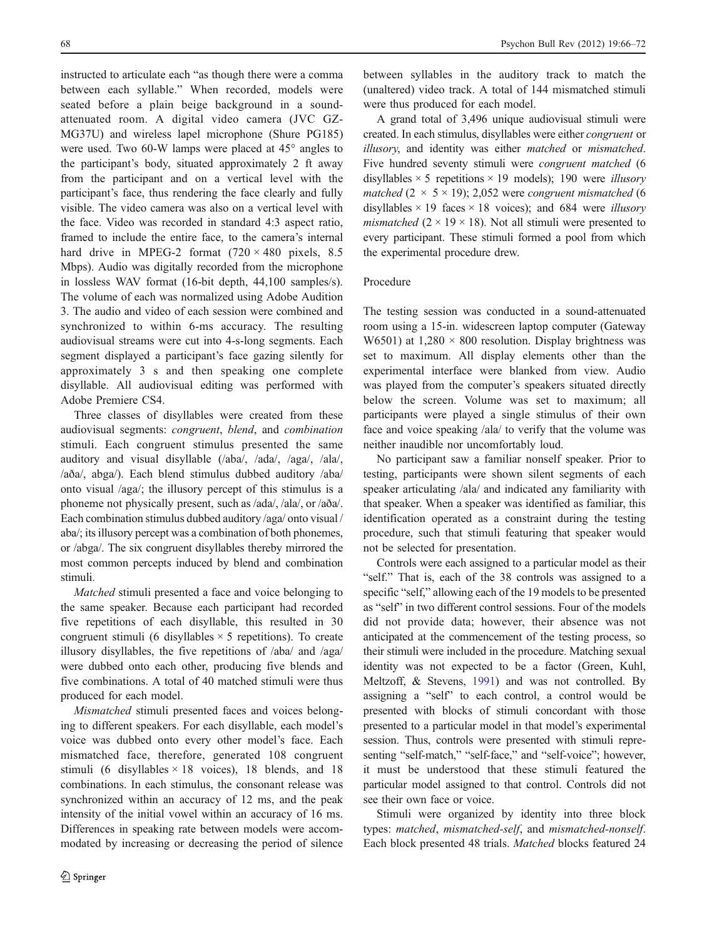instructed to articulate each "as though there were a comma between each syllable." When recorded, models were seated before a plain beige background in a soundattenuated room. A digital video camera (JVC GZ-MG37U) and wireless lapel microphone (Shure PG185) were used. Two 60-W lamps were placed at 45° angles to the participant's body, situated approximately 2 ft away from the participant and on a vertical level with the participant's face, thus rendering the face clearly and fully visible. The video camera was also on a vertical level with the face. Video was recorded in standard 4:3 aspect ratio, framed to include the entire face, to the camera's internal hard drive in MPEG-2 format  $(720 \times 480)$  pixels, 8.5 Mbps). Audio was digitally recorded from the microphone in lossless WAV format (16-bit depth, 44,100 samples/s). The volume of each was normalized using Adobe Audition 3. The audio and video of each session were combined and synchronized to within 6-ms accuracy. The resulting audiovisual streams were cut into 4-s-long segments. Each segment displayed a participant's face gazing silently for approximately 3 s and then speaking one complete disyllable. All audiovisual editing was performed with Adobe Premiere CS4.

Three classes of disyllables were created from these audiovisual segments: congruent, blend, and combination stimuli. Each congruent stimulus presented the same auditory and visual disyllable (/aba/, /ada/, /aga/, /ala/, /aða/, abga/). Each blend stimulus dubbed auditory /aba/ onto visual /aga/; the illusory percept of this stimulus is a phoneme not physically present, such as /ada/, /ala/, or /aða/. Each combination stimulus dubbed auditory /aga/ onto visual / aba/; its illusory percept was a combination of both phonemes, or /abga/. The six congruent disyllables thereby mirrored the most common percepts induced by blend and combination stimuli.

Matched stimuli presented a face and voice belonging to the same speaker. Because each participant had recorded five repetitions of each disyllable, this resulted in 30 congruent stimuli (6 disyllables  $\times$  5 repetitions). To create illusory disyllables, the five repetitions of /aba/ and /aga/ were dubbed onto each other, producing five blends and five combinations. A total of 40 matched stimuli were thus produced for each model.

Mismatched stimuli presented faces and voices belonging to different speakers. For each disyllable, each model's voice was dubbed onto every other model's face. Each mismatched face, therefore, generated 108 congruent stimuli (6 disyllables  $\times$  18 voices), 18 blends, and 18 combinations. In each stimulus, the consonant release was synchronized within an accuracy of 12 ms, and the peak intensity of the initial vowel within an accuracy of 16 ms. Differences in speaking rate between models were accommodated by increasing or decreasing the period of silence

between syllables in the auditory track to match the (unaltered) video track. A total of 144 mismatched stimuli were thus produced for each model.

A grand total of 3,496 unique audiovisual stimuli were created. In each stimulus, disyllables were either congruent or illusory, and identity was either matched or mismatched. Five hundred seventy stimuli were congruent matched (6 disyllables  $\times$  5 repetitions  $\times$  19 models); 190 were *illusory* matched  $(2 \times 5 \times 19)$ ; 2,052 were congruent mismatched (6) disyllables  $\times$  19 faces  $\times$  18 voices); and 684 were *illusory mismatched* ( $2 \times 19 \times 18$ ). Not all stimuli were presented to every participant. These stimuli formed a pool from which the experimental procedure drew.

# Procedure

The testing session was conducted in a sound-attenuated room using a 15-in. widescreen laptop computer (Gateway W6501) at  $1.280 \times 800$  resolution. Display brightness was set to maximum. All display elements other than the experimental interface were blanked from view. Audio was played from the computer's speakers situated directly below the screen. Volume was set to maximum; all participants were played a single stimulus of their own face and voice speaking /ala/ to verify that the volume was neither inaudible nor uncomfortably loud.

No participant saw a familiar nonself speaker. Prior to testing, participants were shown silent segments of each speaker articulating /ala/ and indicated any familiarity with that speaker. When a speaker was identified as familiar, this identification operated as a constraint during the testing procedure, such that stimuli featuring that speaker would not be selected for presentation.

Controls were each assigned to a particular model as their "self." That is, each of the 38 controls was assigned to a specific "self," allowing each of the 19 models to be presented as "self" in two different control sessions. Four of the models did not provide data; however, their absence was not anticipated at the commencement of the testing process, so their stimuli were included in the procedure. Matching sexual identity was not expected to be a factor (Green, Kuhl, Meltzoff, & Stevens, [1991](#page-5-0)) and was not controlled. By assigning a "self" to each control, a control would be presented with blocks of stimuli concordant with those presented to a particular model in that model's experimental session. Thus, controls were presented with stimuli representing "self-match," "self-face," and "self-voice"; however, it must be understood that these stimuli featured the particular model assigned to that control. Controls did not see their own face or voice.

Stimuli were organized by identity into three block types: matched, mismatched-self, and mismatched-nonself. Each block presented 48 trials. Matched blocks featured 24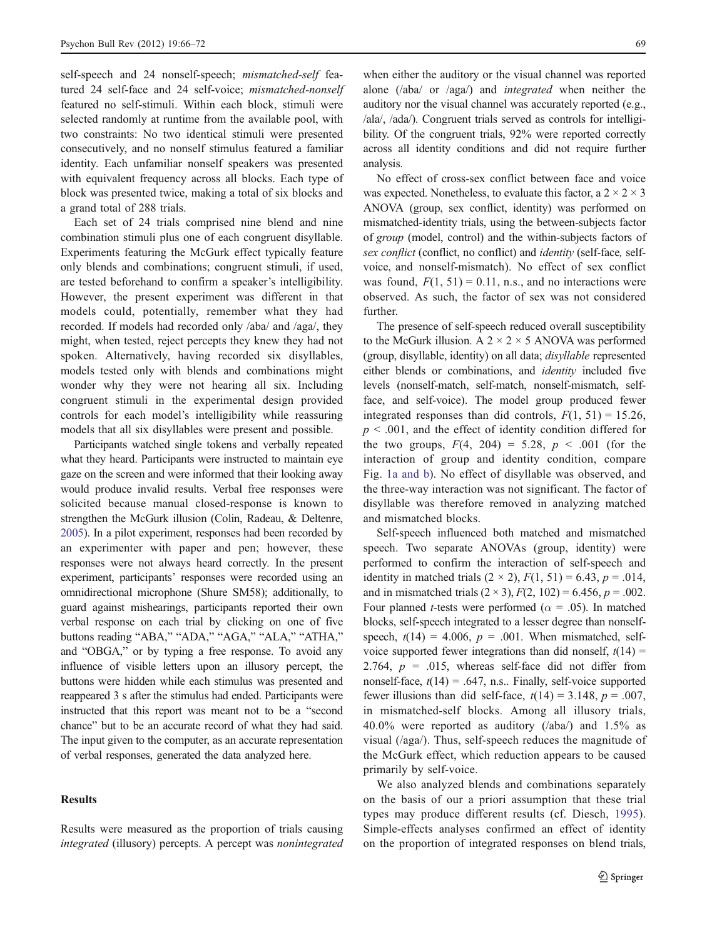self-speech and 24 nonself-speech; *mismatched-self* featured 24 self-face and 24 self-voice; mismatched-nonself featured no self-stimuli. Within each block, stimuli were selected randomly at runtime from the available pool, with two constraints: No two identical stimuli were presented consecutively, and no nonself stimulus featured a familiar identity. Each unfamiliar nonself speakers was presented with equivalent frequency across all blocks. Each type of block was presented twice, making a total of six blocks and a grand total of 288 trials.

Each set of 24 trials comprised nine blend and nine combination stimuli plus one of each congruent disyllable. Experiments featuring the McGurk effect typically feature only blends and combinations; congruent stimuli, if used, are tested beforehand to confirm a speaker's intelligibility. However, the present experiment was different in that models could, potentially, remember what they had recorded. If models had recorded only /aba/ and /aga/, they might, when tested, reject percepts they knew they had not spoken. Alternatively, having recorded six disyllables, models tested only with blends and combinations might wonder why they were not hearing all six. Including congruent stimuli in the experimental design provided controls for each model's intelligibility while reassuring models that all six disyllables were present and possible.

Participants watched single tokens and verbally repeated what they heard. Participants were instructed to maintain eye gaze on the screen and were informed that their looking away would produce invalid results. Verbal free responses were solicited because manual closed-response is known to strengthen the McGurk illusion (Colin, Radeau, & Deltenre, [2005](#page-5-0)). In a pilot experiment, responses had been recorded by an experimenter with paper and pen; however, these responses were not always heard correctly. In the present experiment, participants' responses were recorded using an omnidirectional microphone (Shure SM58); additionally, to guard against mishearings, participants reported their own verbal response on each trial by clicking on one of five buttons reading "ABA," "ADA," "AGA," "ALA," "ATHA," and "OBGA," or by typing a free response. To avoid any influence of visible letters upon an illusory percept, the buttons were hidden while each stimulus was presented and reappeared 3 s after the stimulus had ended. Participants were instructed that this report was meant not to be a "second chance" but to be an accurate record of what they had said. The input given to the computer, as an accurate representation of verbal responses, generated the data analyzed here.

# **Results**

Results were measured as the proportion of trials causing integrated (illusory) percepts. A percept was nonintegrated

when either the auditory or the visual channel was reported alone (/aba/ or /aga/) and integrated when neither the auditory nor the visual channel was accurately reported (e.g., /ala/, /ada/). Congruent trials served as controls for intelligibility. Of the congruent trials, 92% were reported correctly across all identity conditions and did not require further analysis.

No effect of cross-sex conflict between face and voice was expected. Nonetheless, to evaluate this factor, a  $2 \times 2 \times 3$ ANOVA (group, sex conflict, identity) was performed on mismatched-identity trials, using the between-subjects factor of group (model, control) and the within-subjects factors of sex conflict (conflict, no conflict) and *identity* (self-face, selfvoice, and nonself-mismatch). No effect of sex conflict was found,  $F(1, 51) = 0.11$ , n.s., and no interactions were observed. As such, the factor of sex was not considered further.

The presence of self-speech reduced overall susceptibility to the McGurk illusion. A  $2 \times 2 \times 5$  ANOVA was performed (group, disyllable, identity) on all data; disyllable represented either blends or combinations, and *identity* included five levels (nonself-match, self-match, nonself-mismatch, selfface, and self-voice). The model group produced fewer integrated responses than did controls,  $F(1, 51) = 15.26$ ,  $p \leq 0.001$ , and the effect of identity condition differed for the two groups,  $F(4, 204) = 5.28$ ,  $p < .001$  (for the interaction of group and identity condition, compare Fig. [1a and b\)](#page-4-0). No effect of disyllable was observed, and the three-way interaction was not significant. The factor of disyllable was therefore removed in analyzing matched and mismatched blocks.

Self-speech influenced both matched and mismatched speech. Two separate ANOVAs (group, identity) were performed to confirm the interaction of self-speech and identity in matched trials  $(2 \times 2)$ ,  $F(1, 51) = 6.43$ ,  $p = .014$ , and in mismatched trials  $(2 \times 3)$ ,  $F(2, 102) = 6.456$ ,  $p = .002$ . Four planned *t*-tests were performed ( $\alpha$  = .05). In matched blocks, self-speech integrated to a lesser degree than nonselfspeech,  $t(14) = 4.006$ ,  $p = .001$ . When mismatched, selfvoice supported fewer integrations than did nonself,  $t(14)$  = 2.764,  $p = .015$ , whereas self-face did not differ from nonself-face,  $t(14) = .647$ , n.s.. Finally, self-voice supported fewer illusions than did self-face,  $t(14) = 3.148$ ,  $p = .007$ , in mismatched-self blocks. Among all illusory trials, 40.0% were reported as auditory (/aba/) and 1.5% as visual (/aga/). Thus, self-speech reduces the magnitude of the McGurk effect, which reduction appears to be caused primarily by self-voice.

We also analyzed blends and combinations separately on the basis of our a priori assumption that these trial types may produce different results (cf. Diesch, [1995](#page-5-0)). Simple-effects analyses confirmed an effect of identity on the proportion of integrated responses on blend trials,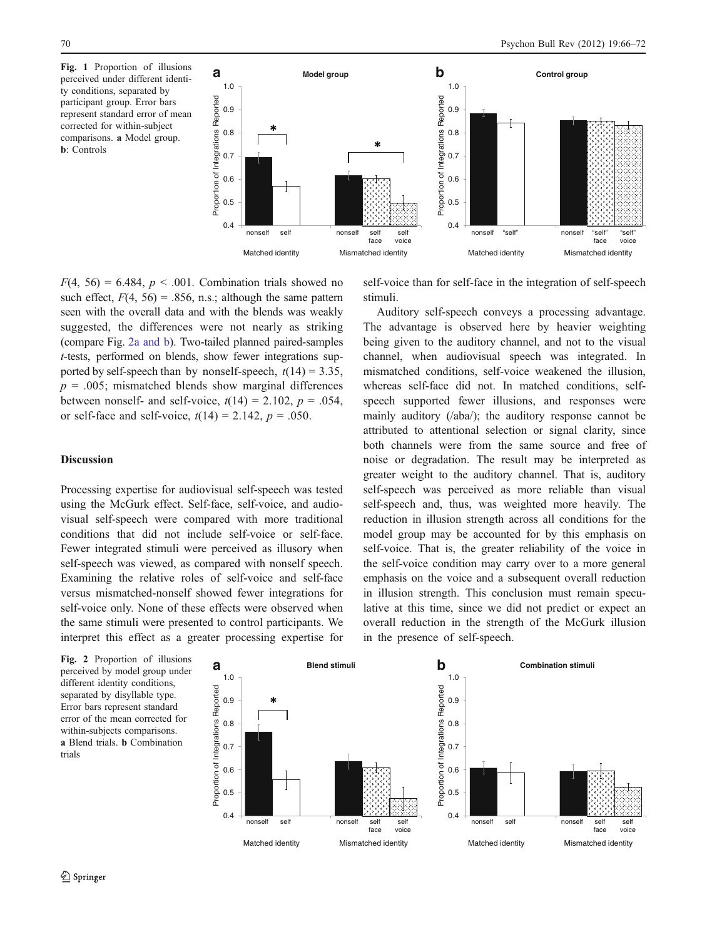perceived under different identity conditions, separated by participant group. Error bars represent standard error of mean corrected for within-subject comparisons. a Model group. b: Controls

<span id="page-4-0"></span>

 $F(4, 56) = 6.484$ ,  $p < .001$ . Combination trials showed no such effect,  $F(4, 56) = .856$ , n.s.; although the same pattern seen with the overall data and with the blends was weakly suggested, the differences were not nearly as striking (compare Fig. 2a and b). Two-tailed planned paired-samples t-tests, performed on blends, show fewer integrations supported by self-speech than by nonself-speech,  $t(14) = 3.35$ ,  $p = .005$ ; mismatched blends show marginal differences between nonself- and self-voice,  $t(14) = 2.102$ ,  $p = .054$ , or self-face and self-voice,  $t(14) = 2.142$ ,  $p = .050$ .

## **Discussion**

Processing expertise for audiovisual self-speech was tested using the McGurk effect. Self-face, self-voice, and audiovisual self-speech were compared with more traditional conditions that did not include self-voice or self-face. Fewer integrated stimuli were perceived as illusory when self-speech was viewed, as compared with nonself speech. Examining the relative roles of self-voice and self-face versus mismatched-nonself showed fewer integrations for self-voice only. None of these effects were observed when the same stimuli were presented to control participants. We interpret this effect as a greater processing expertise for self-voice than for self-face in the integration of self-speech stimuli.

Auditory self-speech conveys a processing advantage. The advantage is observed here by heavier weighting being given to the auditory channel, and not to the visual channel, when audiovisual speech was integrated. In mismatched conditions, self-voice weakened the illusion, whereas self-face did not. In matched conditions, selfspeech supported fewer illusions, and responses were mainly auditory (/aba/); the auditory response cannot be attributed to attentional selection or signal clarity, since both channels were from the same source and free of noise or degradation. The result may be interpreted as greater weight to the auditory channel. That is, auditory self-speech was perceived as more reliable than visual self-speech and, thus, was weighted more heavily. The reduction in illusion strength across all conditions for the model group may be accounted for by this emphasis on self-voice. That is, the greater reliability of the voice in the self-voice condition may carry over to a more general emphasis on the voice and a subsequent overall reduction in illusion strength. This conclusion must remain speculative at this time, since we did not predict or expect an overall reduction in the strength of the McGurk illusion in the presence of self-speech.

perceived by model group under different identity conditions, separated by disyllable type. Error bars represent standard error of the mean corrected for within-subjects comparisons. a Blend trials. b Combination trials

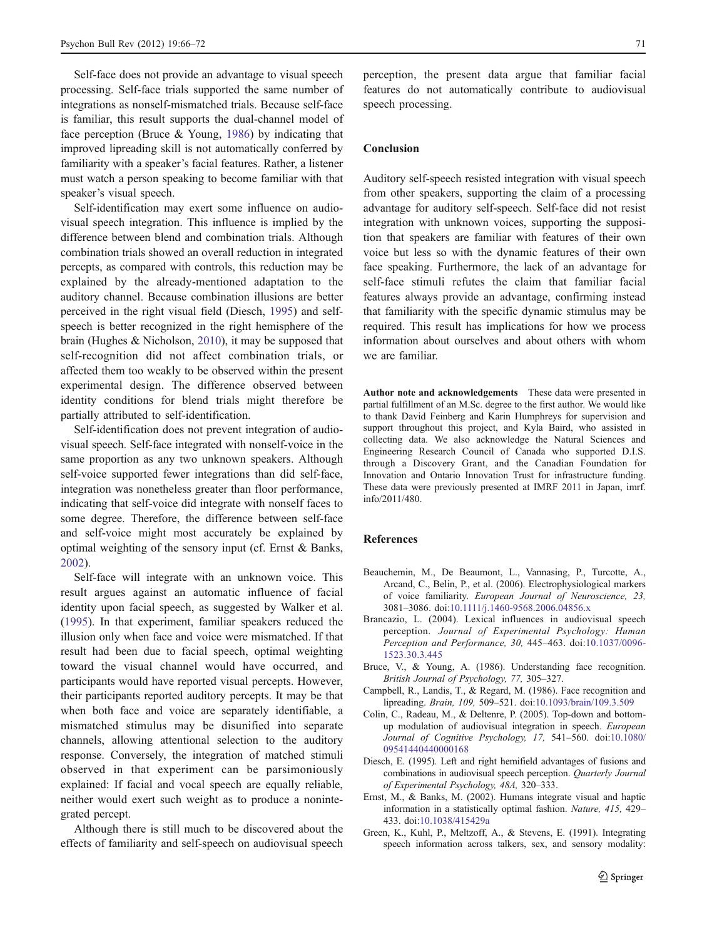<span id="page-5-0"></span>Self-face does not provide an advantage to visual speech processing. Self-face trials supported the same number of integrations as nonself-mismatched trials. Because self-face is familiar, this result supports the dual-channel model of face perception (Bruce  $&$  Young, 1986) by indicating that improved lipreading skill is not automatically conferred by familiarity with a speaker's facial features. Rather, a listener must watch a person speaking to become familiar with that speaker's visual speech.

Self-identification may exert some influence on audiovisual speech integration. This influence is implied by the difference between blend and combination trials. Although combination trials showed an overall reduction in integrated percepts, as compared with controls, this reduction may be explained by the already-mentioned adaptation to the auditory channel. Because combination illusions are better perceived in the right visual field (Diesch, 1995) and selfspeech is better recognized in the right hemisphere of the brain (Hughes & Nicholson, [2010](#page-6-0)), it may be supposed that self-recognition did not affect combination trials, or affected them too weakly to be observed within the present experimental design. The difference observed between identity conditions for blend trials might therefore be partially attributed to self-identification.

Self-identification does not prevent integration of audiovisual speech. Self-face integrated with nonself-voice in the same proportion as any two unknown speakers. Although self-voice supported fewer integrations than did self-face, integration was nonetheless greater than floor performance, indicating that self-voice did integrate with nonself faces to some degree. Therefore, the difference between self-face and self-voice might most accurately be explained by optimal weighting of the sensory input (cf. Ernst & Banks, 2002).

Self-face will integrate with an unknown voice. This result argues against an automatic influence of facial identity upon facial speech, as suggested by Walker et al. [\(1995](#page-6-0)). In that experiment, familiar speakers reduced the illusion only when face and voice were mismatched. If that result had been due to facial speech, optimal weighting toward the visual channel would have occurred, and participants would have reported visual percepts. However, their participants reported auditory percepts. It may be that when both face and voice are separately identifiable, a mismatched stimulus may be disunified into separate channels, allowing attentional selection to the auditory response. Conversely, the integration of matched stimuli observed in that experiment can be parsimoniously explained: If facial and vocal speech are equally reliable, neither would exert such weight as to produce a nonintegrated percept.

Although there is still much to be discovered about the effects of familiarity and self-speech on audiovisual speech

perception, the present data argue that familiar facial features do not automatically contribute to audiovisual speech processing.

## Conclusion

Auditory self-speech resisted integration with visual speech from other speakers, supporting the claim of a processing advantage for auditory self-speech. Self-face did not resist integration with unknown voices, supporting the supposition that speakers are familiar with features of their own voice but less so with the dynamic features of their own face speaking. Furthermore, the lack of an advantage for self-face stimuli refutes the claim that familiar facial features always provide an advantage, confirming instead that familiarity with the specific dynamic stimulus may be required. This result has implications for how we process information about ourselves and about others with whom we are familiar.

Author note and acknowledgements These data were presented in partial fulfillment of an M.Sc. degree to the first author. We would like to thank David Feinberg and Karin Humphreys for supervision and support throughout this project, and Kyla Baird, who assisted in collecting data. We also acknowledge the Natural Sciences and Engineering Research Council of Canada who supported D.I.S. through a Discovery Grant, and the Canadian Foundation for Innovation and Ontario Innovation Trust for infrastructure funding. These data were previously presented at IMRF 2011 in Japan, imrf. info/2011/480.

# References

- Beauchemin, M., De Beaumont, L., Vannasing, P., Turcotte, A., Arcand, C., Belin, P., et al. (2006). Electrophysiological markers of voice familiarity. European Journal of Neuroscience, 23, 3081–3086. doi[:10.1111/j.1460-9568.2006.04856.x](http://dx.doi.org/10.1111/j.1460-9568.2006.04856.x)
- Brancazio, L. (2004). Lexical influences in audiovisual speech perception. Journal of Experimental Psychology: Human Perception and Performance, 30, 445–463. doi:[10.1037/0096-](http://dx.doi.org/10.1037/0096-1523.30.3.445) [1523.30.3.445](http://dx.doi.org/10.1037/0096-1523.30.3.445)
- Bruce, V., & Young, A. (1986). Understanding face recognition. British Journal of Psychology, 77, 305–327.
- Campbell, R., Landis, T., & Regard, M. (1986). Face recognition and lipreading. Brain, 109, 509–521. doi[:10.1093/brain/109.3.509](http://dx.doi.org/10.1093/brain/109.3.509)
- Colin, C., Radeau, M., & Deltenre, P. (2005). Top-down and bottomup modulation of audiovisual integration in speech. European Journal of Cognitive Psychology, 17, 541–560. doi[:10.1080/](http://dx.doi.org/10.1080/09541440440000168) [09541440440000168](http://dx.doi.org/10.1080/09541440440000168)
- Diesch, E. (1995). Left and right hemifield advantages of fusions and combinations in audiovisual speech perception. Quarterly Journal of Experimental Psychology, 48A, 320–333.
- Ernst, M., & Banks, M. (2002). Humans integrate visual and haptic information in a statistically optimal fashion. Nature, 415, 429– 433. doi:[10.1038/415429a](http://dx.doi.org/10.1038/415429a)
- Green, K., Kuhl, P., Meltzoff, A., & Stevens, E. (1991). Integrating speech information across talkers, sex, and sensory modality: